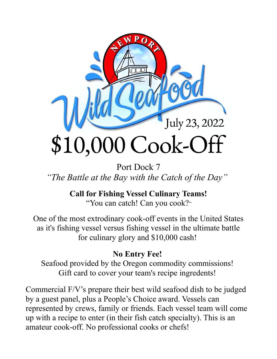

Port Dock 7 *"The Battle at the Bay with the Catch of the Day"* 

> **Call for Fishing Vessel Culinary Teams!** "You can catch! Can you cook?"

One of the most extrodinary cook-off events in the United States as it's fishing vessel versus fishing vessel in the ultimate battle for culinary glory and \$10,000 cash!

## **No Entry Fee!**

Seafood provided by the Oregon commodity commissions! Gift card to cover your team's recipe ingredents!

Commercial F/V's prepare their best wild seafood dish to be judged by a guest panel, plus a People's Choice award. Vessels can represented by crews, family or friends. Each vessel team will come up with a recipe to enter (in their fish catch specialty). This is an amateur cook-off. No professional cooks or chefs!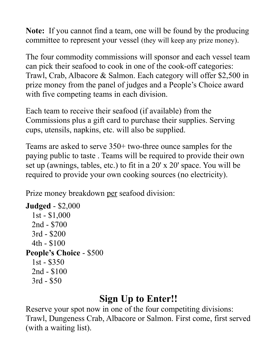**Note:** If you cannot find a team, one will be found by the producing committee to represent your vessel (they will keep any prize money).

The four commodity commissions will sponsor and each vessel team can pick their seafood to cook in one of the cook-off categories: Trawl, Crab, Albacore & Salmon. Each category will offer \$2,500 in prize money from the panel of judges and a People's Choice award with five competing teams in each division.

Each team to receive their seafood (if available) from the Commissions plus a gift card to purchase their supplies. Serving cups, utensils, napkins, etc. will also be supplied.

Teams are asked to serve 350+ two-three ounce samples for the paying public to taste . Teams will be required to provide their own set up (awnings, tables, etc.) to fit in a 20' x 20' space. You will be required to provide your own cooking sources (no electricity).

Prize money breakdown per seafood division:

```
Judged - $2,000 
   1st - $1,000 
  2nd - $700 
  3rd - $200 
  4th - $100 
People's Choice - $500 
   1st - $350 
  2nd - $100 
  3rd - $50
```
## **Sign Up to Enter!!**

Reserve your spot now in one of the four competiting divisions: Trawl, Dungeness Crab, Albacore or Salmon. First come, first served (with a waiting list).